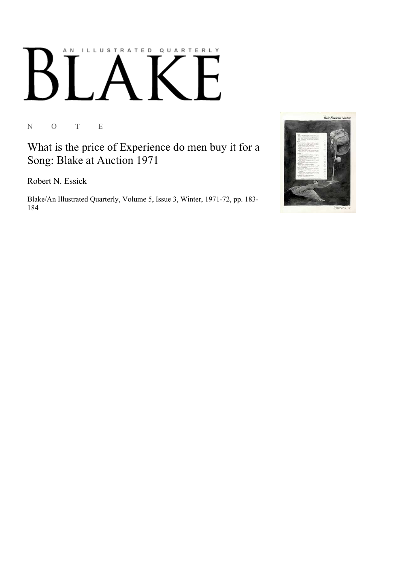## AN ILLUSTRATED QUARTERLY

N O T E

What is the price of Experience do men buy it for a Song: Blake at Auction 1971

Robert N. Essick

Blake/An Illustrated Quarterly, Volume 5, Issue 3, Winter, 1971-72, pp. 183-184

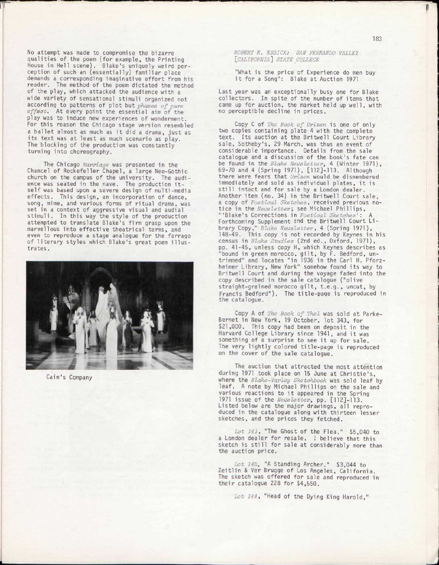No attempt was made to compromise the bizarre qualities of the poem (for example, the Printing House in Hell scene). Blake's uniquely weird perception of such an (essentially) familiar place demands a corresponding imaginative effort from his reader. The method of the poem dictated the method of the play, which attacked the audience with a wide variety of sensational stimuli organized not according to patterns of plot but *phases of pure effect.* At every point the essential aim of the play was to induce new experiences of wonderment. For this reason the Chicago stage version resembled a ballet almost as much as it did a drama, just as its text was at least as much scenario as play. The blocking of the production was constantly turning into choreography.

The Chicago *Marriage* was presented in the Chancel of Rockefeller Chapel, a large Neo-Gothic church on the campus of the university. The audience was seated in the nave. The production itself was based upon a severe design of multi-media effects. This design, an incorporation of dance, song, mime, and various forms of ritual drama, was set in a context of aggressive visual and audial stimuli. In this way the style of the production attempted to translate Blake's firm grasp upon the marvellous into effective theatrical terms, and even to reproduce a stage analogue for the farrago of literary styles which Blake's great poem illustrates .



Cain's Company

*ROBERT N. ESSICK: SAN FERNANDO VALLEY [CALIFORNIA] STATE COLLEGE* 

"What is the price of Experience do men buy it for a Song": Blake at Auction 1971

Last year was an exceptionally busy one for Blake collectors. In spite of the number of items that came up for auction, the market held up well, with no perceptible decline in prices.

Copy C of *The Book of Urizen* is one of only two copies containing plate 4 with the complete text. Its auction at the Britwell Court Library sale, Sotheby's, 29 March, was thus an event of considerable importance. Details from the sale catalogue and a discussion of the book's fate can be found in the *Blake Newsletter,* 4 (Winter 1971), 69-70 and 4 (Spring 1971), [112]-113. Although there were fears that *Urizen* would be dismembered immediately and sold as individual plates, it is still intact and for sale by a London dealer. Another item (no. 34) in the Britwell Court sale, a copy of *Poetical Sketches,* received previous notice in the *Newsletter;* see Michael Phillips , "'Blake's Corrections in *Poetical Sketches':* A Forthcoming Supplement 2nd the Britwel l Court Li brary Copy," *Blake Newsletter,* 4 (Spring 1971), 148-49. This copy is not recorded by Keynes in his census in *Blake Studies* (2nd ed. , Oxford, 1971), pp. 41-45, unless copy H, which Keynes describes as "bound in green morocco, gilt, by F. Bedford, untrimmed" and locates "in 1936 in the Carl H. Pforzheimer Library, New York" somehow found its way to Britwell Court and during the voyage faded into the copy described in the sale catalogue ("olive straight-grained morocco gilt, t.e.g., uncut, by Francis Bedford"). The title-paqe is reproduced in the catalogue.

Copy A of *The Book of Thel* was sold at Parke-Bernet in New York, 19 October, lot 343, for \$21,000. This copy had been on deposit in the Harvard College Library since 1941, and it was something of a surprise to see it up for sale. The very lightly colored title-page is reproduced on the cover of the sale catalogue.

The auction that attracted the most attention during 1971 took place on 15 June at Christie's , where the *Blake-Varley Sketchbook* was sold leaf by leaf. A note by Michael Phillips on the sale and various reactions to it appeared in the Spring 1971 issue of the *Newsletter,* pp. [112]-113. Listed below are the major drawings, all reproduced in the catalogue along with thirteen lesser sketches, and the prices they fetched.

*Lot 141,* "The Ghost of the Flea." \$5,040 to a London dealer for resale. I believe that this sketch is still for sale at considerably more than the auction price.

*Lot 142,* "A Standing Archer." \$3,044 to Zeitlin & Ver Brugge of Los Angeles, California. The sketch was offered for sale and reproduced in their catalogue 228 for \$4,550.

*Lot 144,* "Head of the Dying King Harold,"